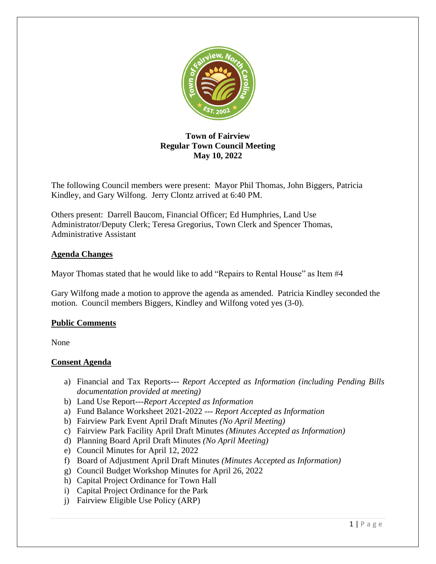

# **Town of Fairview Regular Town Council Meeting May 10, 2022**

The following Council members were present: Mayor Phil Thomas, John Biggers, Patricia Kindley, and Gary Wilfong. Jerry Clontz arrived at 6:40 PM.

Others present: Darrell Baucom, Financial Officer; Ed Humphries, Land Use Administrator/Deputy Clerk; Teresa Gregorius, Town Clerk and Spencer Thomas, Administrative Assistant

## **Agenda Changes**

Mayor Thomas stated that he would like to add "Repairs to Rental House" as Item #4

Gary Wilfong made a motion to approve the agenda as amended. Patricia Kindley seconded the motion. Council members Biggers, Kindley and Wilfong voted yes (3-0).

## **Public Comments**

None

# **Consent Agenda**

- a) Financial and Tax Reports--- *Report Accepted as Information (including Pending Bills documentation provided at meeting)*
- b) Land Use Report---*Report Accepted as Information*
- a) Fund Balance Worksheet 2021-2022 --- *Report Accepted as Information*
- b) Fairview Park Event April Draft Minutes *(No April Meeting)*
- c) Fairview Park Facility April Draft Minutes *(Minutes Accepted as Information)*
- d) Planning Board April Draft Minutes *(No April Meeting)*
- e) Council Minutes for April 12, 2022
- f) Board of Adjustment April Draft Minutes *(Minutes Accepted as Information)*
- g) Council Budget Workshop Minutes for April 26, 2022
- h) Capital Project Ordinance for Town Hall
- i) Capital Project Ordinance for the Park
- j) Fairview Eligible Use Policy (ARP)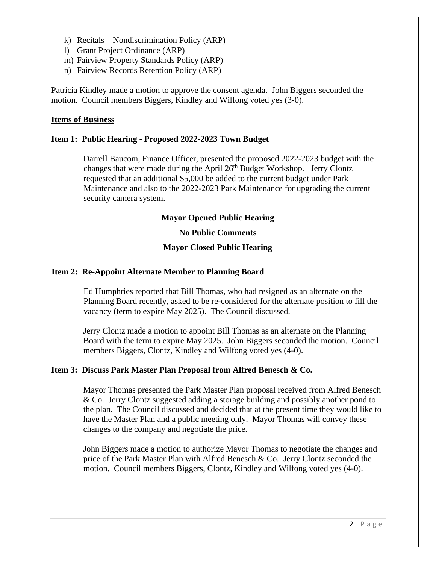- k) Recitals Nondiscrimination Policy (ARP)
- l) Grant Project Ordinance (ARP)
- m) Fairview Property Standards Policy (ARP)
- n) Fairview Records Retention Policy (ARP)

Patricia Kindley made a motion to approve the consent agenda. John Biggers seconded the motion. Council members Biggers, Kindley and Wilfong voted yes (3-0).

#### **Items of Business**

#### **Item 1: Public Hearing - Proposed 2022-2023 Town Budget**

Darrell Baucom, Finance Officer, presented the proposed 2022-2023 budget with the changes that were made during the April 26<sup>th</sup> Budget Workshop. Jerry Clontz requested that an additional \$5,000 be added to the current budget under Park Maintenance and also to the 2022-2023 Park Maintenance for upgrading the current security camera system.

#### **Mayor Opened Public Hearing**

#### **No Public Comments**

### **Mayor Closed Public Hearing**

#### **Item 2: Re-Appoint Alternate Member to Planning Board**

Ed Humphries reported that Bill Thomas, who had resigned as an alternate on the Planning Board recently, asked to be re-considered for the alternate position to fill the vacancy (term to expire May 2025). The Council discussed.

Jerry Clontz made a motion to appoint Bill Thomas as an alternate on the Planning Board with the term to expire May 2025. John Biggers seconded the motion. Council members Biggers, Clontz, Kindley and Wilfong voted yes (4-0).

#### **Item 3: Discuss Park Master Plan Proposal from Alfred Benesch & Co.**

Mayor Thomas presented the Park Master Plan proposal received from Alfred Benesch & Co. Jerry Clontz suggested adding a storage building and possibly another pond to the plan. The Council discussed and decided that at the present time they would like to have the Master Plan and a public meeting only. Mayor Thomas will convey these changes to the company and negotiate the price.

John Biggers made a motion to authorize Mayor Thomas to negotiate the changes and price of the Park Master Plan with Alfred Benesch & Co. Jerry Clontz seconded the motion. Council members Biggers, Clontz, Kindley and Wilfong voted yes (4-0).